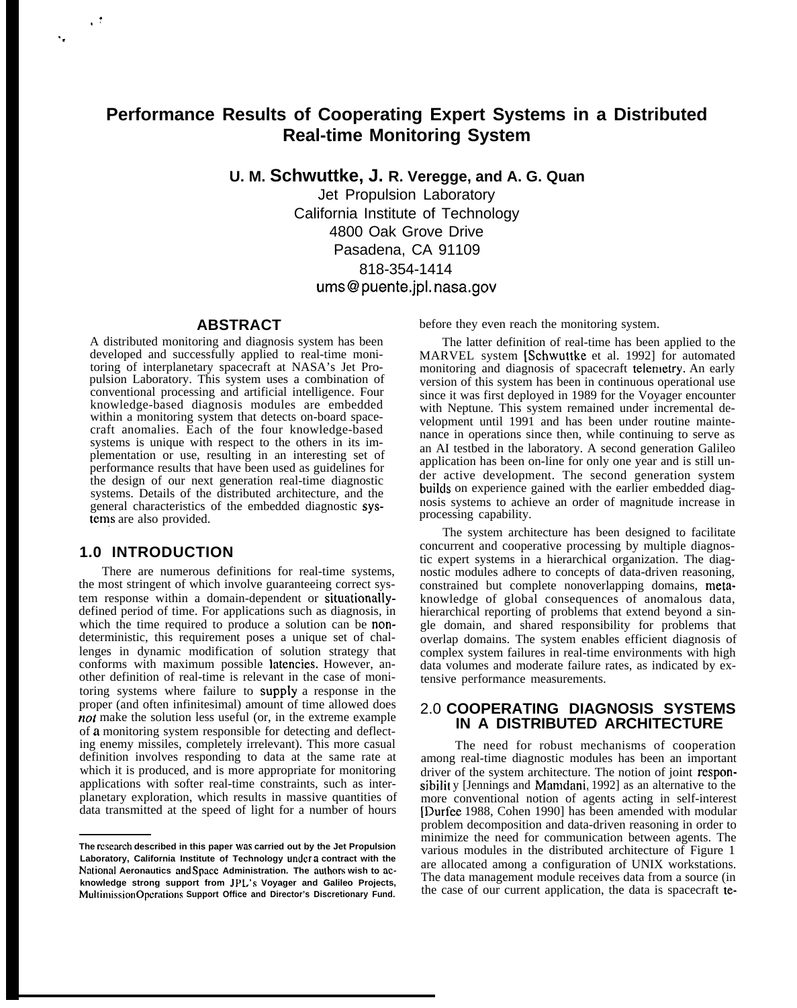# **Performance Results of Cooperating Expert Systems in a Distributed Real-time Monitoring System**

**U. M. Schwuttke, J. R. Veregge, and A. G. Quan**

Jet Propulsion Laboratory California Institute of Technology 4800 Oak Grove Drive Pasadena, CA 91109 818-354-1414 ums@puente.jpl. nasa.gov

#### **ABSTRACT**

A distributed monitoring and diagnosis system has been developed and successfully applied to real-time monitoring of interplanetary spacecraft at NASA's Jet Propulsion Laboratory. This system uses a combination of conventional processing and artificial intelligence. Four knowledge-based diagnosis modules are embedded within a monitoring system that detects on-board spacecraft anomalies. Each of the four knowledge-based systems is unique with respect to the others in its implementation or use, resulting in an interesting set of performance results that have been used as guidelines for the design of our next generation real-time diagnostic systems. Details of the distributed architecture, and the general characteristics of the embedded diagnostic systems are also provided.

# **1.0 INTRODUCTION**

. .,

. .

There are numerous definitions for real-time systems, the most stringent of which involve guaranteeing correct system response within a domain-dependent or situationallydefined period of time. For applications such as diagnosis, in which the time required to produce a solution can be **non**deterministic, this requirement poses a unique set of challenges in dynamic modification of solution strategy that conforms with maximum possible latencies. However, another definition of real-time is relevant in the case of monitoring systems where failure to supply a response in the proper (and often infinitesimal) amount of time allowed does not make the solution less useful (or, in the extreme example of a monitoring system responsible for detecting and deflecting enemy missiles, completely irrelevant). This more casual definition involves responding to data at the same rate at which it is produced, and is more appropriate for monitoring applications with softer real-time constraints, such as interplanetary exploration, which results in massive quantities of data transmitted at the speed of light for a number of hours before they even reach the monitoring system.

The latter definition of real-time has been applied to the MARVEL system [Schwuttke et al. 1992] for automated monitoring and diagnosis of spacecraft telemetry. An early version of this system has been in continuous operational use since it was first deployed in 1989 for the Voyager encounter with Neptune. This system remained under incremental development until 1991 and has been under routine maintenance in operations since then, while continuing to serve as an AI testbed in the laboratory. A second generation Galileo application has been on-line for only one year and is still under active development. The second generation system builds on experience gained with the earlier embedded diagnosis systems to achieve an order of magnitude increase in processing capability.

The system architecture has been designed to facilitate concurrent and cooperative processing by multiple diagnostic expert systems in a hierarchical organization. The diagnostic modules adhere to concepts of data-driven reasoning, constrained but complete nonoverlapping domains, metaknowledge of global consequences of anomalous data, hierarchical reporting of problems that extend beyond a single domain, and shared responsibility for problems that overlap domains. The system enables efficient diagnosis of complex system failures in real-time environments with high data volumes and moderate failure rates, as indicated by extensive performance measurements.

### 2.0 **COOPERATING DIAGNOSIS SYSTEMS IN A DISTRIBUTED ARCHITECTURE**

The need for robust mechanisms of cooperation among real-time diagnostic modules has been an important driver of the system architecture. The notion of joint responsibility *[Jennings and Mamdani, 1992]* as an alternative to the more conventional notion of agents acting in self-interest [Durfee 1988, Cohen 1990] has been amended with modular problem decomposition and data-driven reasoning in order to minimize the need for communication between agents. The various modules in the distributed architecture of Figure 1 are allocated among a configuration of UNIX workstations. The data management module receives data from a source (in the case of our current application, the data is spacecraft te-

**The nxearch described in this paper was carried out by the Jet Propulsion Laboratory, California Institute of Technology under a contract with the National Aeronautics and Space Administration. The authors wish to acknowledge strong support from JPL's Voyager and Galileo Projects, Muitimission Opcmtions Support Office and Director's Discretionary Fund.**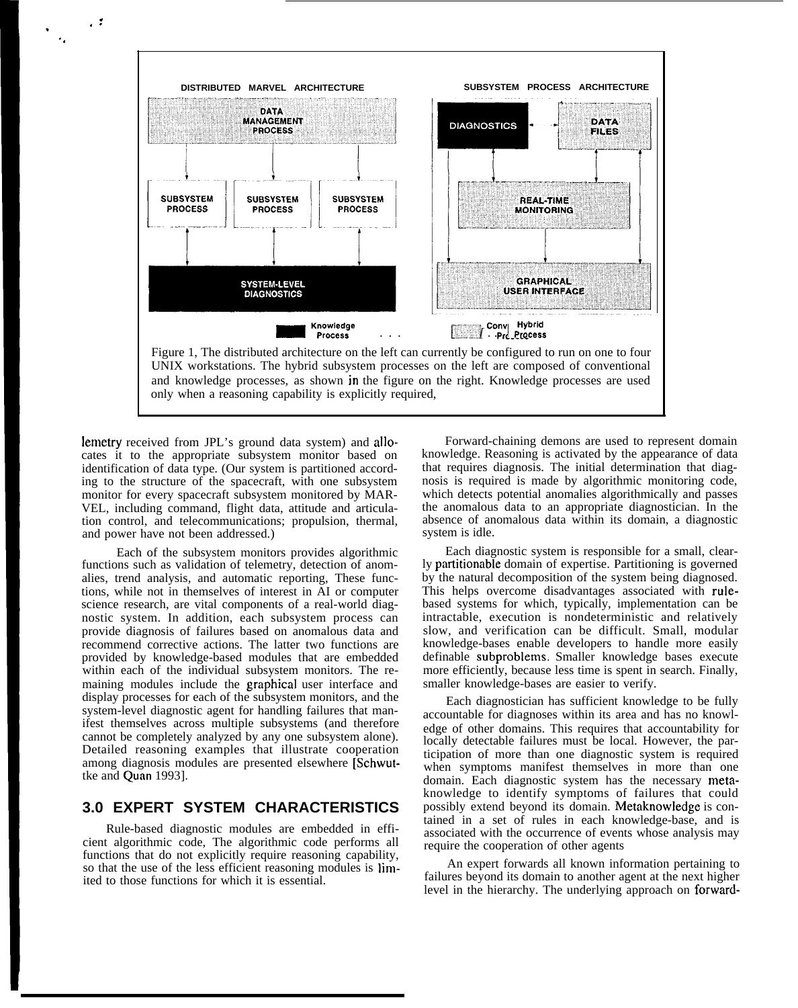

lemetry received from JPL's ground data system) and allo- Forward-chaining demons are used to represent domain cates it to the appropriate subsystem monitor based on identification of data type. (Our system is partitioned according to the structure of the spacecraft, with one subsystem monitor for every spacecraft subsystem monitored by MAR-VEL, including command, flight data, attitude and articulation control, and telecommunications; propulsion, thermal, and power have not been addressed.)

. ,.

. . .

> Each of the subsystem monitors provides algorithmic functions such as validation of telemetry, detection of anomalies, trend analysis, and automatic reporting, These functions, while not in themselves of interest in AI or computer science research, are vital components of a real-world diagnostic system. In addition, each subsystem process can provide diagnosis of failures based on anomalous data and recommend corrective actions. The latter two functions are provided by knowledge-based modules that are embedded within each of the individual subsystem monitors. The remaining modules include the graphical user interface and display processes for each of the subsystem monitors, and the system-level diagnostic agent for handling failures that manifest themselves across multiple subsystems (and therefore cannot be completely analyzed by any one subsystem alone). Detailed reasoning examples that illustrate cooperation among diagnosis modules are presented elsewhere [Schwuttke and Quan 1993].

# **3.0 EXPERT SYSTEM CHARACTERISTICS**

Rule-based diagnostic modules are embedded in efficient algorithmic code, The algorithmic code performs all functions that do not explicitly require reasoning capability, so that the use of the less efficient reasoning modules is limited to those functions for which it is essential.

knowledge. Reasoning is activated by the appearance of data that requires diagnosis. The initial determination that diagnosis is required is made by algorithmic monitoring code, which detects potential anomalies algorithmically and passes the anomalous data to an appropriate diagnostician. In the absence of anomalous data within its domain, a diagnostic system is idle.

Each diagnostic system is responsible for a small, clearly partitionable domain of expertise. Partitioning is governed by the natural decomposition of the system being diagnosed. This helps overcome disadvantages associated with rulebased systems for which, typically, implementation can be intractable, execution is nondeterministic and relatively slow, and verification can be difficult. Small, modular knowledge-bases enable developers to handle more easily definable subproblems, Smaller knowledge bases execute more efficiently, because less time is spent in search. Finally, smaller knowledge-bases are easier to verify.

Each diagnostician has sufficient knowledge to be fully accountable for diagnoses within its area and has no knowledge of other domains. This requires that accountability for locally detectable failures must be local. However, the participation of more than one diagnostic system is required when symptoms manifest themselves in more than one domain. Each diagnostic system has the necessary metaknowledge to identify symptoms of failures that could possibly extend beyond its domain. Metaknowledge is contained in a set of rules in each knowledge-base, and is associated with the occurrence of events whose analysis may require the cooperation of other agents

An expert forwards all known information pertaining to failures beyond its domain to another agent at the next higher level in the hierarchy. The underlying approach on forward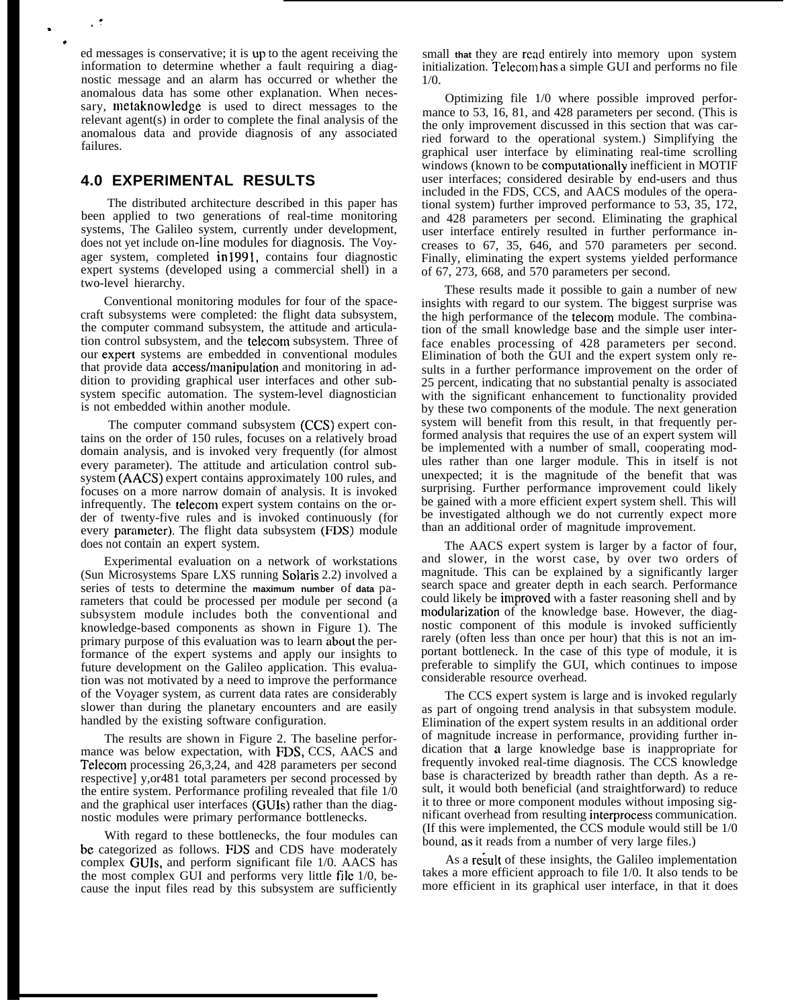ed messages is conservative; it is up to the agent receiving the information to determine whether a fault requiring a diagnostic message and an alarm has occurred or whether the anomalous data has some other explanation. When necessary, metaknowledge is used to direct messages to the relevant agent(s) in order to complete the final analysis of the anomalous data and provide diagnosis of any associated failures.

## **4.0 EXPERIMENTAL RESULTS**

. ,.

, .

> The distributed architecture described in this paper has been applied to two generations of real-time monitoring systems, The Galileo system, currently under development, does not yet include on-line modules for diagnosis. The Voyager system, completed in 1991, contains four diagnostic expert systems (developed using a commercial shell) in a two-level hierarchy.

> Conventional monitoring modules for four of the spacecraft subsystems were completed: the flight data subsystem, the computer command subsystem, the attitude and articulation control subsystem, and the telecom subsystem. Three of our experl systems are embedded in conventional modules that provide data access/manipulation and monitoring in addition to providing graphical user interfaces and other subsystem specific automation. The system-level diagnostician is not embedded within another module.

> The computer command subsystem (CCS) expert contains on the order of 150 rules, focuses on a relatively broad domain analysis, and is invoked very frequently (for almost every parameter). The attitude and articulation control subsystem (AACS) expert contains approximately 100 rules, and focuses on a more narrow domain of analysis. It is invoked infrequently. The telecom expert system contains on the order of twenty-five rules and is invoked continuously (for every parameter). The flight data subsystem (FDS) module does not contain an expert system.

> Experimental evaluation on a network of workstations (Sun Microsystems Spare LXS running Solaris 2.2) involved a series of tests to determine the **maximum number** of **data** parameters that could be processed per module per second (a subsystem module includes both the conventional and knowledge-based components as shown in Figure 1). The primary purpose of this evaluation was to learn about the performance of the expert systems and apply our insights to future development on the Galileo application. This evaluation was not motivated by a need to improve the performance of the Voyager system, as current data rates are considerably slower than during the planetary encounters and are easily handled by the existing software configuration.

> The results are shown in Figure 2. The baseline performance was below expectation, with FDS, CCS, AACS and Telecom processing 26,3,24, and 428 parameters per second respective] y,or481 total parameters per second processed by the entire system. Performance profiling revealed that file 1/0 and the graphical user interfaces (GUIS) rather than the diagnostic modules were primary performance bottlenecks.

> With regard to these bottlenecks, the four modules can be categorized as follows. FDS and CDS have moderately complex GUIS, and perform significant file 1/0. AACS has the most complex GUI and performs very little file 1/0, because the input files read by this subsystem are sufficiently

small **that** they are read entirely into memory upon system initialization. Telecom has a simple GUI and performs no file 1/0.

Optimizing file 1/0 where possible improved performance to 53, 16, 81, and 428 parameters per second. (This is the only improvement discussed in this section that was carried forward to the operational system.) Simplifying the graphical user interface by eliminating real-time scrolling windows (known to be computationally inefficient in MOTIF user interfaces; considered desirable by end-users and thus included in the FDS, CCS, and AACS modules of the operational system) further improved performance to 53, 35, 172, and 428 parameters per second. Eliminating the graphical user interface entirely resulted in further performance increases to 67, 35, 646, and 570 parameters per second. Finally, eliminating the expert systems yielded performance of 67, 273, 668, and 570 parameters per second.

These results made it possible to gain a number of new insights with regard to our system. The biggest surprise was the high performance of the telecom module. The combination of the small knowledge base and the simple user interface enables processing of 428 parameters per second. Elimination of both the GUI and the expert system only results in a further performance improvement on the order of 25 percent, indicating that no substantial penalty is associated with the significant enhancement to functionality provided by these two components of the module. The next generation system will benefit from this result, in that frequently performed analysis that requires the use of an expert system will be implemented with a number of small, cooperating modules rather than one larger module. This in itself is not unexpected; it is the magnitude of the benefit that was surprising. Further performance improvement could likely be gained with a more efficient expert system shell. This will be investigated although we do not currently expect more than an additional order of magnitude improvement.

The AACS expert system is larger by a factor of four, and slower, in the worst case, by over two orders of magnitude. This can be explained by a significantly larger search space and greater depth in each search. Performance could likely be improved with a faster reasoning shell and by modularization of the knowledge base. However, the diagnostic component of this module is invoked sufficiently rarely (often less than once per hour) that this is not an important bottleneck. In the case of this type of module, it is preferable to simplify the GUI, which continues to impose considerable resource overhead.

The CCS expert system is large and is invoked regularly as part of ongoing trend analysis in that subsystem module. Elimination of the expert system results in an additional order of magnitude increase in performance, providing further indication that a large knowledge base is inappropriate for frequently invoked real-time diagnosis. The CCS knowledge base is characterized by breadth rather than depth. As a result, it would both beneficial (and straightforward) to reduce it to three or more component modules without imposing significant overhead from resulting interprocess communication. (If this were implemented, the CCS module would still be 1/0 bound, as it reads from a number of very large files.)

As a result of these insights, the Galileo implementation takes a more efficient approach to file 1/0. It also tends to be more efficient in its graphical user interface, in that it does